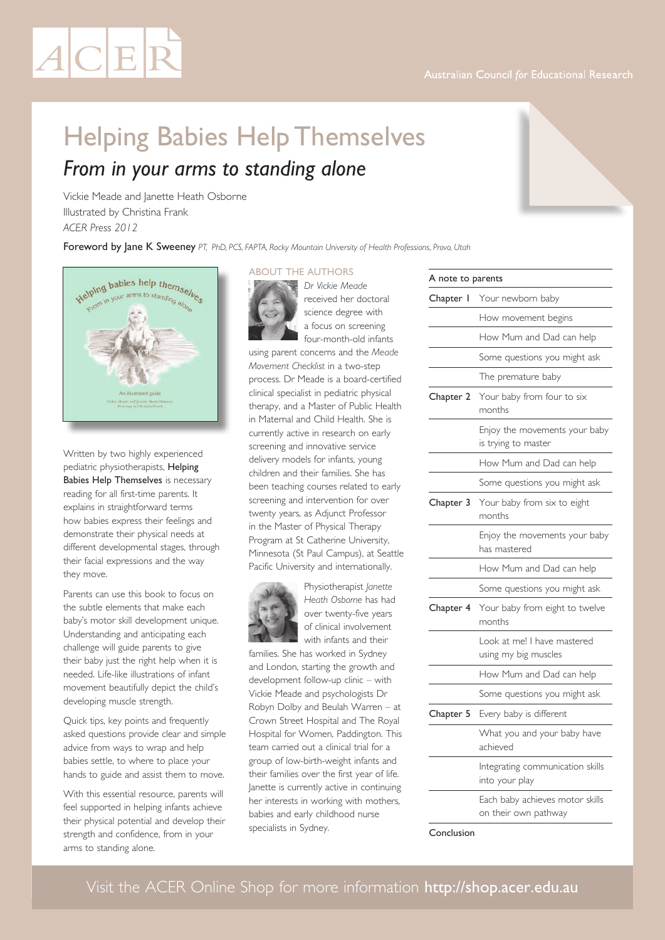# Visit the ACER Online Shop for more information http://shop.acer.edu.au

# Helping Babies Help Themselves *From in your arms to standing alone*

Vickie Meade and Janette Heath Osborne Illustrated by Christina Frank *ACER Press 2012*

Foreword by Jane K Sweeney *PT, PhD, PCS, FAPTA, Rocky Mountain University of Health Professions, Provo, Utah*

#### About the authors

*Dr Vickie Meade*  received her doctoral science degree with a focus on screening four-month-old infants using parent concerns and the *Meade* 

*Movement Checklist* in a two-step process. Dr Meade is a board-certified clinical specialist in pediatric physical therapy, and a Master of Public Health in Maternal and Child Health. She is currently active in research on early screening and innovative service delivery models for infants, young children and their families. She has been teaching courses related to early screening and intervention for over twenty years, as Adjunct Professor in the Master of Physical Therapy Program at St Catherine University, Minnesota (St Paul Campus), at Seattle



with infants and their families. She has worked in Sydney and London, starting the growth and development follow-up clinic – with Vickie Meade and psychologists Dr Robyn Dolby and Beulah Warren – at Crown Street Hospital and The Royal Hospital for Women, Paddington. This team carried out a clinical trial for a group of low-birth-weight infants and their families over the first year of life. Janette is currently active in continuing her interests in working with mothers, babies and early childhood nurse specialists in Sydney.

| Your newborn baby                                    |  |  |
|------------------------------------------------------|--|--|
| How movement begins                                  |  |  |
| How Mum and Dad can help                             |  |  |
| Some questions you might ask                         |  |  |
| The premature baby                                   |  |  |
| Your baby from four to six<br>months                 |  |  |
| Enjoy the movements your baby<br>is trying to master |  |  |
| How Mum and Dad can help                             |  |  |
| Some questions you might ask                         |  |  |
| Your baby from six to eight<br>months                |  |  |
| Enjoy the movements your baby<br>has mastered        |  |  |
| How Mum and Dad can help                             |  |  |
| Some questions you might ask                         |  |  |
| Your baby from eight to twelve<br>months             |  |  |
| Look at me! I have mastered<br>using my big muscles  |  |  |
| How Mum and Dad can help                             |  |  |
| Some questions you might ask                         |  |  |
| Every baby is different                              |  |  |
| What you and your baby have<br>achieved              |  |  |
| Integrating communication skills<br>into your play   |  |  |
| Each baby achieves motor skills                      |  |  |
|                                                      |  |  |

Conclusion



Written by two highly experienced pediatric physiotherapists, Helping Babies Help Themselves is necessary reading for all first-time parents. It explains in straightforward terms how babies express their feelings and demonstrate their physical needs at different developmental stages, through their facial expressions and the way they move.

Parents can use this book to focus on the subtle elements that make each baby's motor skill development unique. Understanding and anticipating each challenge will guide parents to give their baby just the right help when it is needed. Life-like illustrations of infant movement beautifully depict the child's developing muscle strength.

Quick tips, key points and frequently asked questions provide clear and simple advice from ways to wrap and help babies settle, to where to place your hands to guide and assist them to move.

With this essential resource, parents will feel supported in helping infants achieve their physical potential and develop their strength and confidence, from in your arms to standing alone.